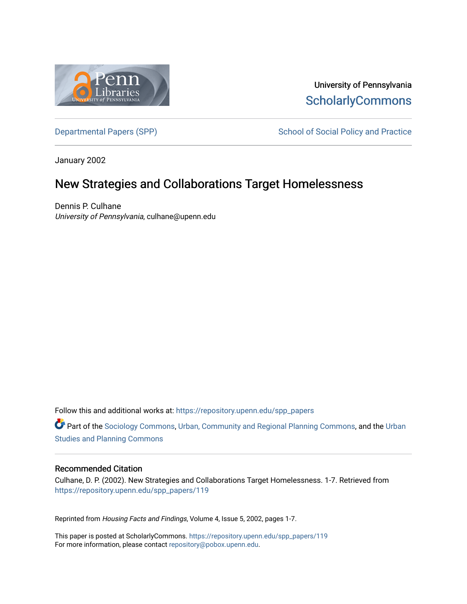

University of Pennsylvania **ScholarlyCommons** 

[Departmental Papers \(SPP\)](https://repository.upenn.edu/spp_papers) School of Social Policy and Practice

January 2002

# New Strategies and Collaborations Target Homelessness

Dennis P. Culhane University of Pennsylvania, culhane@upenn.edu

Follow this and additional works at: [https://repository.upenn.edu/spp\\_papers](https://repository.upenn.edu/spp_papers?utm_source=repository.upenn.edu%2Fspp_papers%2F119&utm_medium=PDF&utm_campaign=PDFCoverPages) 

Part of the [Sociology Commons](http://network.bepress.com/hgg/discipline/416?utm_source=repository.upenn.edu%2Fspp_papers%2F119&utm_medium=PDF&utm_campaign=PDFCoverPages), [Urban, Community and Regional Planning Commons,](http://network.bepress.com/hgg/discipline/776?utm_source=repository.upenn.edu%2Fspp_papers%2F119&utm_medium=PDF&utm_campaign=PDFCoverPages) and the [Urban](http://network.bepress.com/hgg/discipline/436?utm_source=repository.upenn.edu%2Fspp_papers%2F119&utm_medium=PDF&utm_campaign=PDFCoverPages) [Studies and Planning Commons](http://network.bepress.com/hgg/discipline/436?utm_source=repository.upenn.edu%2Fspp_papers%2F119&utm_medium=PDF&utm_campaign=PDFCoverPages)

# Recommended Citation

Culhane, D. P. (2002). New Strategies and Collaborations Target Homelessness. 1-7. Retrieved from [https://repository.upenn.edu/spp\\_papers/119](https://repository.upenn.edu/spp_papers/119?utm_source=repository.upenn.edu%2Fspp_papers%2F119&utm_medium=PDF&utm_campaign=PDFCoverPages) 

Reprinted from Housing Facts and Findings, Volume 4, Issue 5, 2002, pages 1-7.

This paper is posted at ScholarlyCommons. [https://repository.upenn.edu/spp\\_papers/119](https://repository.upenn.edu/spp_papers/119)  For more information, please contact [repository@pobox.upenn.edu.](mailto:repository@pobox.upenn.edu)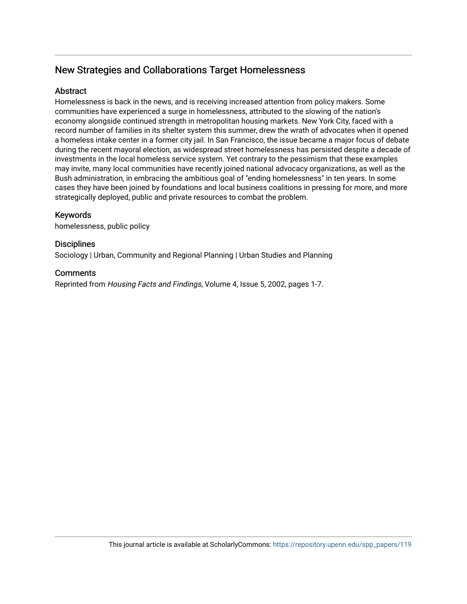# New Strategies and Collaborations Target Homelessness

# **Abstract**

Homelessness is back in the news, and is receiving increased attention from policy makers. Some communities have experienced a surge in homelessness, attributed to the slowing of the nation's economy alongside continued strength in metropolitan housing markets. New York City, faced with a record number of families in its shelter system this summer, drew the wrath of advocates when it opened a homeless intake center in a former city jail. In San Francisco, the issue became a major focus of debate during the recent mayoral election, as widespread street homelessness has persisted despite a decade of investments in the local homeless service system. Yet contrary to the pessimism that these examples may invite, many local communities have recently joined national advocacy organizations, as well as the Bush administration, in embracing the ambitious goal of "ending homelessness" in ten years. In some cases they have been joined by foundations and local business coalitions in pressing for more, and more strategically deployed, public and private resources to combat the problem.

# Keywords

homelessness, public policy

# **Disciplines**

Sociology | Urban, Community and Regional Planning | Urban Studies and Planning

# **Comments**

Reprinted from Housing Facts and Findings, Volume 4, Issue 5, 2002, pages 1-7.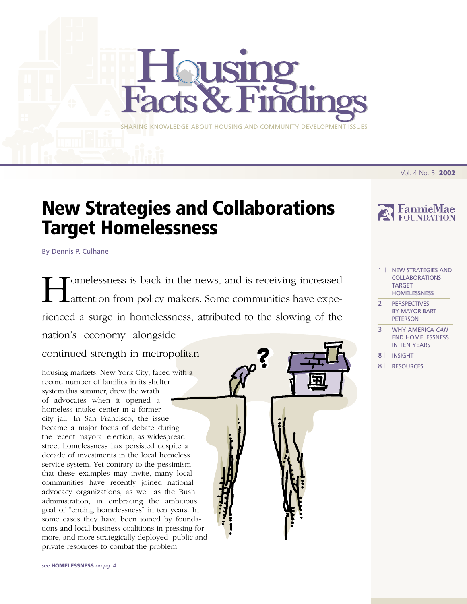Vol. 4 No. 5 **2002**

# **New Strategies and Collaborations Target Homelessness**

SHARING KNOWLEDGE ABOUT HOUSING AND COMMUNITY DEVELOPMENT ISSUES

By Dennis P. Culhane

I differentials and the news, and is receiving increased attention from policy makers. Some communities have expeattention from policy makers. Some communities have experienced a surge in homelessness, attributed to the slowing of the nation's economy alongside

continued strength in metropolitan

housing markets. New York City, faced with a record number of families in its shelter system this summer, drew the wrath of advocates when it opened a homeless intake center in a former city jail. In San Francisco, the issue became a major focus of debate during the recent mayoral election, as widespread street homelessness has persisted despite a decade of investments in the local homeless service system. Yet contrary to the pessimism that these examples may invite, many local communities have recently joined national advocacy organizations, as well as the Bush administration, in embracing the ambitious goal of "ending homelessness" in ten years. In some cases they have been joined by foundations and local business coalitions in pressing for more, and more strategically deployed, public and private resources to combat the problem.





- 1 | NEW STRATEGIES AND COLLABORATIONS TARGET HOMELESSNESS
- 2 | PERSPECTIVES: [BY MAYOR BART](#page-3-0) PETERSON
- 3 | WHY AMERICA *CAN* [END HOMELESSNESS](#page-4-0) IN TEN YEARS
- 8 | [INSIGHT](#page-9-0)
- 8 | [RESOURCES](#page-9-0)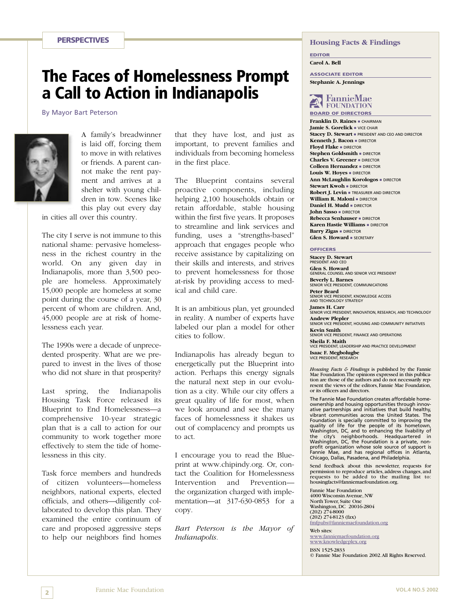# <span id="page-3-0"></span>**The Faces of Homelessness Prompt a Call to Action in Indianapolis**

By Mayor Bart Peterson



A family's breadwinner is laid off, forcing them to move in with relatives or friends. A parent cannot make the rent payment and arrives at a shelter with young children in tow. Scenes like this play out every day

in cities all over this country.

The city I serve is not immune to this national shame: pervasive homelessness in the richest country in the world. On any given day in Indianapolis, more than 3,500 people are homeless. Approximately 15,000 people are homeless at some point during the course of a year, 30 percent of whom are children. And, 45,000 people are at risk of homelessness each year.

The 1990s were a decade of unprecedented prosperity. What are we prepared to invest in the lives of those who did not share in that prosperity?

Last spring, the Indianapolis Housing Task Force released its Blueprint to End Homelessness—a comprehensive 10-year strategic plan that is a call to action for our community to work together more effectively to stem the tide of homelessness in this city.

Task force members and hundreds of citizen volunteers—homeless neighbors, national experts, elected officials, and others—diligently collaborated to develop this plan. They examined the entire continuum of care and proposed aggressive steps to help our neighbors find homes that they have lost, and just as important, to prevent families and individuals from becoming homeless in the first place.

The Blueprint contains several proactive components, including helping 2,100 households obtain or retain affordable, stable housing within the first five years. It proposes to streamline and link services and funding, uses a "strengths-based" approach that engages people who receive assistance by capitalizing on their skills and interests, and strives to prevent homelessness for those at-risk by providing access to medical and child care.

It is an ambitious plan, yet grounded in reality. A number of experts have labeled our plan a model for other cities to follow.

Indianapolis has already begun to energetically put the Blueprint into action. Perhaps this energy signals the natural next step in our evolution as a city. While our city offers a great quality of life for most, when we look around and see the many faces of homelessness it shakes us out of complacency and prompts us to act.

I encourage you to read the Blueprint at www.chipindy.org. Or, contact the Coalition for Homelessness Intervention and Prevention the organization charged with implementation—at 317-630-0853 for a copy.

*Bart Peterson is the Mayor of Indianapolis.*

#### **Housing Facts & Findings**

**EDITOR**

**Carol A. Bell**

**ASSOCIATE EDITOR Stephanie A. Jennings**

# FannieMae **BOARD OF DIRECTORS**

**Franklin D. Raines •** CHAIRMAN **Jamie S. Gorelick •** VICE CHAIR Stacey D. Stewart **·** PRESIDENT AND CEO AND DIRECTOR **Kenneth J. Bacon · DIRECTOR Floyd Flake** - DIRECTOR **Stephen Goldsmith · DIRECTOR Charles V. Greener** - DIRECTOR **Colleen Hernandez · DIRECTOR** Louis W. Hoyes **DIRECTOR Ann McLaughlin Korologos · DIRECTOR Stewart Kwoh =** director **Robert J. Levin · TREASURER AND DIRECTOR William R. Maloni • DIRECTOR Daniel H. Mudd** - DIRECTOR **John Sasso · DIRECTOR Rebecca Senhauser** - DIRECTOR **Karen Hastie Williams =** DIRECTOR **Barry Zigas · DIRECTOR Glen S. Howard · SECRETARY** 

#### **OFFICERS**

**Stacey D. Stewart** PRESIDENT AND CEO

**Glen S. Howard** GENERAL COUNSEL AND SENIOR VICE PRESIDENT **Beverly L. Barnes** SENIOR VICE PRESIDENT, COMMUNICATIONS **Peter Beard** SENIOR VICE PRESIDENT, KNOWLEDGE ACCESS AND TECHNOLOGY STRATEGY **James H. Carr**<br>SENIOR VICE PRESIDENT, INNOVATION, RESEARCH, AND TECHNOLOGY **Andrew Plepler** SENIOR VICE PRESIDENT, HOUSING AND COMMUNITY INITIATIVES **Kevin Smith** SENIOR VICE PRESIDENT, FINANCE AND OPERATIONS **Sheila F. Maith** VICE PRESIDENT, LEADERSHIP AND PRACTICE DEVELOPMENT **Isaac F. Megbolugbe** VICE PRESIDENT, RESEAR

*Housing Facts & Findings* is published by the Fannie Mae Foundation.The opinions expressed in this publication are those of the authors and do not necessarily represent the views of the editors, Fannie Mae Foundation, or its officers and directors.

The Fannie Mae Foundation creates affordable homeownership and housing opportunities through innov-ative partnerships and initiatives that build healthy, vibrant communities across the United States. The Foundation is specially committed to improving the quality of life for the people of its hometown, Washington, DC, and to enhancing the livability of the city's neighborhoods. Headquartered in Washington, DC, the Foundation is a private, nonprofit organization whose sole source of support is Fannie Mae, and has regional offices in Atlanta, Chicago, Dallas, Pasadena, and Philadelphia.

Send feedback about this newsletter, requests for permission to reproduce articles, address changes, and requests to be added to the mailing list to: housingfacts@fanniemaefoundation.org.

Fannie Mae Foundation 4000 Wisconsin Avenue, NW North Tower, Suite One Washington, DC 20016-2804 (202) 274-8000  $(202)$  274-8123 (fax) [fmfpubs@fanniemaefoundation.org](mailto:fmfpubs@fanniemaefoundation.org)

Web sites:<br>www.fanniemaefoundation.org [www.knowledgeplex.org](http://www.knowledgeplex.org)

ISSN 1525-2833 © Fannie Mae Foundation 2002.All Rights Reserved.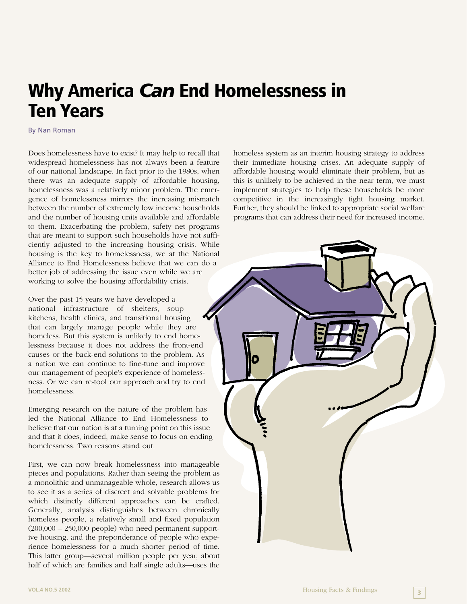# <span id="page-4-0"></span>**Why America** *Can* **End Homelessness in Ten Years**

By Nan Roman

Does homelessness have to exist? It may help to recall that widespread homelessness has not always been a feature of our national landscape. In fact prior to the 1980s, when there was an adequate supply of affordable housing, homelessness was a relatively minor problem. The emergence of homelessness mirrors the increasing mismatch between the number of extremely low income households and the number of housing units available and affordable to them. Exacerbating the problem, safety net programs that are meant to support such households have not sufficiently adjusted to the increasing housing crisis. While housing is the key to homelessness, we at the National Alliance to End Homelessness believe that we can do a better job of addressing the issue even while we are working to solve the housing affordability crisis.

Over the past 15 years we have developed a national infrastructure of shelters, soup kitchens, health clinics, and transitional housing that can largely manage people while they are homeless. But this system is unlikely to end homelessness because it does not address the front-end causes or the back-end solutions to the problem. As a nation we can continue to fine-tune and improve our management of people's experience of homelessness. Or we can re-tool our approach and try to end homelessness.

Emerging research on the nature of the problem has led the National Alliance to End Homelessness to believe that our nation is at a turning point on this issue and that it does, indeed, make sense to focus on ending homelessness. Two reasons stand out.

First, we can now break homelessness into manageable pieces and populations. Rather than seeing the problem as a monolithic and unmanageable whole, research allows us to see it as a series of discreet and solvable problems for which distinctly different approaches can be crafted. Generally, analysis distinguishes between chronically homeless people, a relatively small and fixed population  $(200,000 - 250,000$  people) who need permanent supportive housing, and the preponderance of people who experience homelessness for a much shorter period of time. This latter group—several million people per year, about half of which are families and half single adults—uses the

homeless system as an interim housing strategy to address their immediate housing crises. An adequate supply of affordable housing would eliminate their problem, but as this is unlikely to be achieved in the near term, we must implement strategies to help these households be more competitive in the increasingly tight housing market. Further, they should be linked to appropriate social welfare programs that can address their need for increased income.

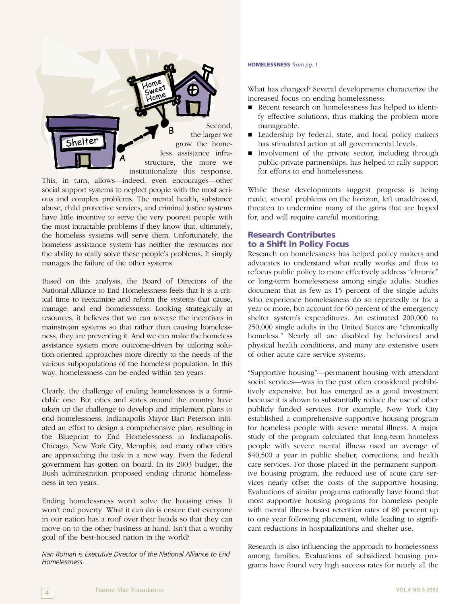

This, in turn, allows—indeed, even encourages—other social support systems to neglect people with the most serious and complex problems. The mental health, substance abuse, child protective services, and criminal justice systems have little incentive to serve the very poorest people with the most intractable problems if they know that, ultimately, the homeless systems will serve them. Unfortunately, the homeless assistance system has neither the resources nor the ability to really solve these people's problems. It simply manages the failure of the other systems.

Based on this analysis, the Board of Directors of the National Alliance to End Homelessness feels that it is a critical time to reexamine and reform the systems that cause, manage, and end homelessness. Looking strategically at resources, it believes that we can reverse the incentives in mainstream systems so that rather than causing homelessness, they are preventing it. And we can make the homeless assistance system more outcome-driven by tailoring solution-oriented approaches more directly to the needs of the various subpopulations of the homeless population. In this way, homelessness can be ended within ten years.

Clearly, the challenge of ending homelessness is a formidable one. But cities and states around the country have taken up the challenge to develop and implement plans to end homelessness. Indianapolis Mayor Bart Peterson initiated an effort to design a comprehensive plan, resulting in the Blueprint to End Homelessness in Indianapolis. Chicago, New York City, Memphis, and many other cities are approaching the task in a new way. Even the federal government has gotten on board. In its 2003 budget, the Bush administration proposed ending chronic homelessness in ten years.

Ending homelessness won't solve the housing crisis. It won't end poverty. What it can do is ensure that everyone in our nation has a roof over their heads so that they can move on to the other business at hand. Isn't that a worthy goal of the best-housed nation in the world?

*Nan Roman is Executive Director of the National Alliance to End Homelessness.*

#### **HOMELESSNESS** *from pg. 1*

What has changed? Several developments characterize the increased focus on ending homelessness:

- Recent research on homelessness has helped to identify effective solutions, thus making the problem more manageable.
- Leadership by federal, state, and local policy makers has stimulated action at all governmental levels.
- - Involvement of the private sector, including through public-private partnerships, has helped to rally support for efforts to end homelessness.

While these developments suggest progress is being made, several problems on the horizon, left unaddressed, threaten to undermine many of the gains that are hoped for, and will require careful monitoring.

# **Research Contributes to a Shift in Policy Focus**

Research on homelessness has helped policy makers and advocates to understand what really works and thus to refocus public policy to more effectively address "chronic" or long-term homelessness among single adults. Studies document that as few as 15 percent of the single adults who experience homelessness do so repeatedly or for a year or more, but account for 60 percent of the emergency shelter system's expenditures. An estimated 200,000 to 250,000 single adults in the United States are "chronically homeless." Nearly all are disabled by behavioral and physical health conditions, and many are extensive users of other acute care service systems.

"Supportive housing"—permanent housing with attendant social services—was in the past often considered prohibitively expensive, but has emerged as a good investment because it is shown to substantially reduce the use of other publicly funded services. For example, New York City established a comprehensive supportive housing program for homeless people with severe mental illness. A major study of the program calculated that long-term homeless people with severe mental illness used an average of \$40,500 a year in public shelter, corrections, and health care services. For those placed in the permanent supportive housing program, the reduced use of acute care services nearly offset the costs of the supportive housing. Evaluations of similar programs nationally have found that most supportive housing programs for homeless people with mental illness boast retention rates of 80 percent up to one year following placement, while leading to significant reductions in hospitalizations and shelter use.

Research is also influencing the approach to homelessness among families. Evaluations of subsidized housing programs have found very high success rates for nearly all the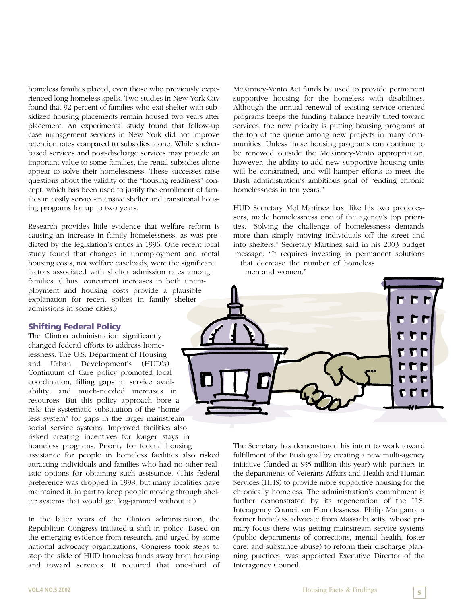homeless families placed, even those who previously experienced long homeless spells. Two studies in New York City found that 92 percent of families who exit shelter with subsidized housing placements remain housed two years after placement. An experimental study found that follow-up case management services in New York did not improve retention rates compared to subsidies alone. While shelterbased services and post-discharge services may provide an important value to some families, the rental subsidies alone appear to solve their homelessness. These successes raise questions about the validity of the "housing readiness" concept, which has been used to justify the enrollment of families in costly service-intensive shelter and transitional housing programs for up to two years.

Research provides little evidence that welfare reform is causing an increase in family homelessness, as was predicted by the legislation's critics in 1996. One recent local study found that changes in unemployment and rental housing costs, not welfare caseloads, were the significant factors associated with shelter admission rates among families. (Thus, concurrent increases in both unemployment and housing costs provide a plausible explanation for recent spikes in family shelter admissions in some cities.)

#### **Shifting Federal Policy**

The Clinton administration significantly changed federal efforts to address homelessness. The U.S. Department of Housing and Urban Development's (HUD's) Continuum of Care policy promoted local coordination, filling gaps in service availability, and much-needed increases in resources. But this policy approach bore a risk: the systematic substitution of the "homeless system" for gaps in the larger mainstream social service systems. Improved facilities also risked creating incentives for longer stays in homeless programs. Priority for federal housing assistance for people in homeless facilities also risked attracting individuals and families who had no other realistic options for obtaining such assistance. (This federal preference was dropped in 1998, but many localities have maintained it, in part to keep people moving through shelter systems that would get log-jammed without it.)

In the latter years of the Clinton administration, the Republican Congress initiated a shift in policy. Based on the emerging evidence from research, and urged by some national advocacy organizations, Congress took steps to stop the slide of HUD homeless funds away from housing and toward services. It required that one-third of McKinney-Vento Act funds be used to provide permanent supportive housing for the homeless with disabilities. Although the annual renewal of existing service-oriented programs keeps the funding balance heavily tilted toward services, the new priority is putting housing programs at the top of the queue among new projects in many communities. Unless these housing programs can continue to be renewed outside the McKinney-Vento appropriation, however, the ability to add new supportive housing units will be constrained, and will hamper efforts to meet the Bush administration's ambitious goal of "ending chronic homelessness in ten years."

HUD Secretary Mel Martinez has, like his two predecessors, made homelessness one of the agency's top priorities. "Solving the challenge of homelessness demands more than simply moving individuals off the street and into shelters," Secretary Martinez said in his 2003 budget message. "It requires investing in permanent solutions that decrease the number of homeless

men and women."



The Secretary has demonstrated his intent to work toward fulfillment of the Bush goal by creating a new multi-agency initiative (funded at \$35 million this year) with partners in the departments of Veterans Affairs and Health and Human Services (HHS) to provide more supportive housing for the chronically homeless. The administration's commitment is further demonstrated by its regeneration of the U.S. Interagency Council on Homelessness. Philip Mangano, a former homeless advocate from Massachusetts, whose primary focus there was getting mainstream service systems (public departments of corrections, mental health, foster care, and substance abuse) to reform their discharge planning practices, was appointed Executive Director of the Interagency Council.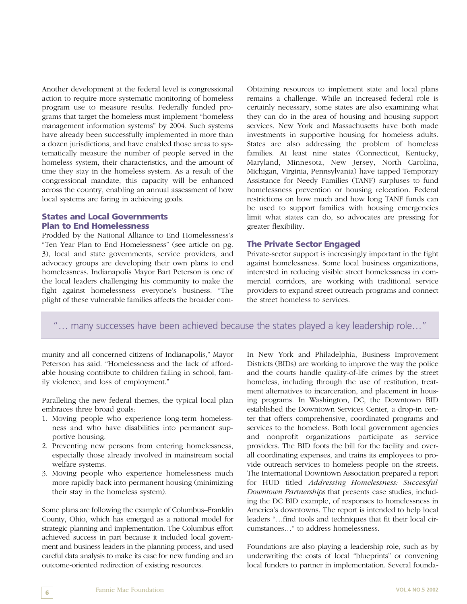Another development at the federal level is congressional action to require more systematic monitoring of homeless program use to measure results. Federally funded programs that target the homeless must implement "homeless management information systems" by 2004. Such systems have already been successfully implemented in more than a dozen jurisdictions, and have enabled those areas to systematically measure the number of people served in the homeless system, their characteristics, and the amount of time they stay in the homeless system. As a result of the congressional mandate, this capacity will be enhanced across the country, enabling an annual assessment of how local systems are faring in achieving goals.

### **States and Local Governments Plan to End Homelessness**

Prodded by the National Alliance to End Homelessness's "Ten Year Plan to End Homelessness" (see article on pg. 3), local and state governments, service providers, and advocacy groups are developing their own plans to end homelessness. Indianapolis Mayor Bart Peterson is one of the local leaders challenging his community to make the fight against homelessness everyone's business. "The plight of these vulnerable families affects the broader comObtaining resources to implement state and local plans remains a challenge. While an increased federal role is certainly necessary, some states are also examining what they can do in the area of housing and housing support services. New York and Massachusetts have both made investments in supportive housing for homeless adults. States are also addressing the problem of homeless families. At least nine states (Connecticut, Kentucky, Maryland, Minnesota, New Jersey, North Carolina, Michigan, Virginia, Pennsylvania) have tapped Temporary Assistance for Needy Families (TANF) surpluses to fund homelessness prevention or housing relocation. Federal restrictions on how much and how long TANF funds can be used to support families with housing emergencies limit what states can do, so advocates are pressing for greater flexibility.

### **The Private Sector Engaged**

Private-sector support is increasingly important in the fight against homelessness. Some local business organizations, interested in reducing visible street homelessness in commercial corridors, are working with traditional service providers to expand street outreach programs and connect the street homeless to services.

"… many successes have been achieved because the states played a key leadership role…"

munity and all concerned citizens of Indianapolis," Mayor Peterson has said. "Homelessness and the lack of affordable housing contribute to children failing in school, family violence, and loss of employment."

Paralleling the new federal themes, the typical local plan embraces three broad goals:

- 1. Moving people who experience long-term homelessness and who have disabilities into permanent supportive housing.
- 2. Preventing new persons from entering homelessness, especially those already involved in mainstream social welfare systems.
- 3. Moving people who experience homelessness much more rapidly back into permanent housing (minimizing their stay in the homeless system).

Some plans are following the example of Columbus–Franklin County, Ohio, which has emerged as a national model for strategic planning and implementation. The Columbus effort achieved success in part because it included local government and business leaders in the planning process, and used careful data analysis to make its case for new funding and an outcome-oriented redirection of existing resources.

In New York and Philadelphia, Business Improvement Districts (BIDs) are working to improve the way the police and the courts handle quality-of-life crimes by the street homeless, including through the use of restitution, treatment alternatives to incarceration, and placement in housing programs. In Washington, DC, the Downtown BID established the Downtown Services Center, a drop-in center that offers comprehensive, coordinated programs and services to the homeless. Both local government agencies and nonprofit organizations participate as service providers. The BID foots the bill for the facility and overall coordinating expenses, and trains its employees to provide outreach services to homeless people on the streets. The International Downtown Association prepared a report for HUD titled *Addressing Homelessness: Successful Downtown Partnerships* that presents case studies, including the DC BID example, of responses to homelessness in America's downtowns. The report is intended to help local leaders "…find tools and techniques that fit their local circumstances…" to address homelessness.

Foundations are also playing a leadership role, such as by underwriting the costs of local "blueprints" or convening local funders to partner in implementation. Several founda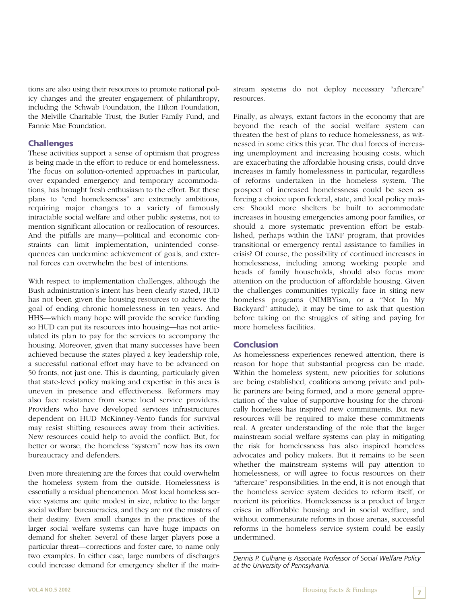tions are also using their resources to promote national policy changes and the greater engagement of philanthropy, including the Schwab Foundation, the Hilton Foundation, the Melville Charitable Trust, the Butler Family Fund, and Fannie Mae Foundation.

## **Challenges**

These activities support a sense of optimism that progress is being made in the effort to reduce or end homelessness. The focus on solution-oriented approaches in particular, over expanded emergency and temporary accommodations, has brought fresh enthusiasm to the effort. But these plans to "end homelessness" are extremely ambitious, requiring major changes to a variety of famously intractable social welfare and other public systems, not to mention significant allocation or reallocation of resources. And the pitfalls are many—political and economic constraints can limit implementation, unintended consequences can undermine achievement of goals, and external forces can overwhelm the best of intentions.

With respect to implementation challenges, although the Bush administration's intent has been clearly stated, HUD has not been given the housing resources to achieve the goal of ending chronic homelessness in ten years. And HHS—which many hope will provide the service funding so HUD can put its resources into housing—has not articulated its plan to pay for the services to accompany the housing. Moreover, given that many successes have been achieved because the states played a key leadership role, a successful national effort may have to be advanced on 50 fronts, not just one. This is daunting, particularly given that state-level policy making and expertise in this area is uneven in presence and effectiveness. Reformers may also face resistance from some local service providers. Providers who have developed services infrastructures dependent on HUD McKinney-Vento funds for survival may resist shifting resources away from their activities. New resources could help to avoid the conflict. But, for better or worse, the homeless "system" now has its own bureaucracy and defenders.

Even more threatening are the forces that could overwhelm the homeless system from the outside. Homelessness is essentially a residual phenomenon. Most local homeless service systems are quite modest in size, relative to the larger social welfare bureaucracies, and they are not the masters of their destiny. Even small changes in the practices of the larger social welfare systems can have huge impacts on demand for shelter. Several of these larger players pose a particular threat—corrections and foster care, to name only two examples. In either case, large numbers of discharges could increase demand for emergency shelter if the mainstream systems do not deploy necessary "aftercare" resources.

Finally, as always, extant factors in the economy that are beyond the reach of the social welfare system can threaten the best of plans to reduce homelessness, as witnessed in some cities this year. The dual forces of increasing unemployment and increasing housing costs, which are exacerbating the affordable housing crisis, could drive increases in family homelessness in particular, regardless of reforms undertaken in the homeless system. The prospect of increased homelessness could be seen as forcing a choice upon federal, state, and local policy makers: Should more shelters be built to accommodate increases in housing emergencies among poor families, or should a more systematic prevention effort be established, perhaps within the TANF program, that provides transitional or emergency rental assistance to families in crisis? Of course, the possibility of continued increases in homelessness, including among working people and heads of family households, should also focus more attention on the production of affordable housing. Given the challenges communities typically face in siting new homeless programs (NIMBYism, or a "Not In My Backyard" attitude), it may be time to ask that question before taking on the struggles of siting and paying for more homeless facilities.

### **Conclusion**

As homelessness experiences renewed attention, there is reason for hope that substantial progress can be made. Within the homeless system, new priorities for solutions are being established, coalitions among private and public partners are being formed, and a more general appreciation of the value of supportive housing for the chronically homeless has inspired new commitments. But new resources will be required to make these commitments real. A greater understanding of the role that the larger mainstream social welfare systems can play in mitigating the risk for homelessness has also inspired homeless advocates and policy makers. But it remains to be seen whether the mainstream systems will pay attention to homelessness, or will agree to focus resources on their "aftercare" responsibilities. In the end, it is not enough that the homeless service system decides to reform itself, or reorient its priorities. Homelessness is a product of larger crises in affordable housing and in social welfare, and without commensurate reforms in those arenas, successful reforms in the homeless service system could be easily undermined.

*Dennis P. Culhane is Associate Professor of Social Welfare Policy at the University of Pennsylvania.*